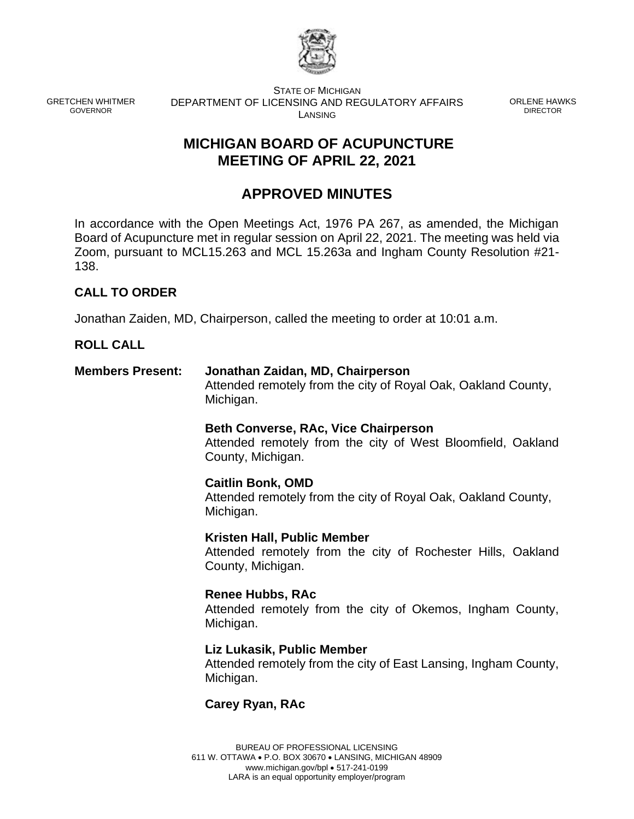

GRETCHEN WHITMER GOVERNOR

STATE OF MICHIGAN DEPARTMENT OF LICENSING AND REGULATORY AFFAIRS LANSING

ORLENE HAWKS DIRECTOR

# **MICHIGAN BOARD OF ACUPUNCTURE MEETING OF APRIL 22, 2021**

# **APPROVED MINUTES**

In accordance with the Open Meetings Act, 1976 PA 267, as amended, the Michigan Board of Acupuncture met in regular session on April 22, 2021. The meeting was held via Zoom, pursuant to MCL15.263 and MCL 15.263a and Ingham County Resolution #21- 138.

# **CALL TO ORDER**

Jonathan Zaiden, MD, Chairperson, called the meeting to order at 10:01 a.m.

## **ROLL CALL**

#### **Members Present: Jonathan Zaidan, MD, Chairperson** Attended remotely from the city of Royal Oak, Oakland County, Michigan.

# **Beth Converse, RAc, Vice Chairperson**

Attended remotely from the city of West Bloomfield, Oakland County, Michigan.

## **Caitlin Bonk, OMD** Attended remotely from the city of Royal Oak, Oakland County, Michigan.

**Kristen Hall, Public Member** Attended remotely from the city of Rochester Hills, Oakland County, Michigan.

#### **Renee Hubbs, RAc** Attended remotely from the city of Okemos, Ingham County, Michigan.

#### **Liz Lukasik, Public Member** Attended remotely from the city of East Lansing, Ingham County, Michigan.

# **Carey Ryan, RAc**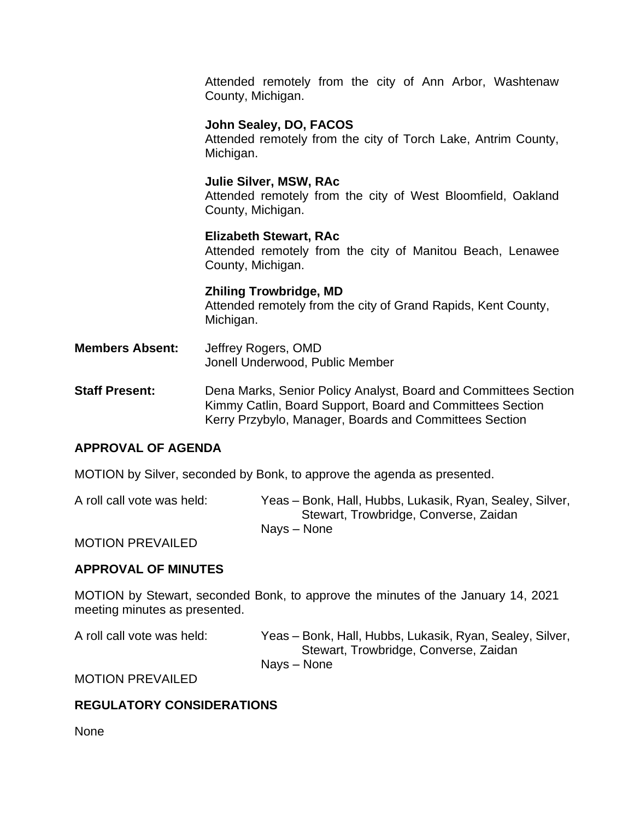Attended remotely from the city of Ann Arbor, Washtenaw County, Michigan.

# **John Sealey, DO, FACOS**

Attended remotely from the city of Torch Lake, Antrim County, Michigan.

#### **Julie Silver, MSW, RAc**

Attended remotely from the city of West Bloomfield, Oakland County, Michigan.

**Elizabeth Stewart, RAc** Attended remotely from the city of Manitou Beach, Lenawee County, Michigan.

**Zhiling Trowbridge, MD** Attended remotely from the city of Grand Rapids, Kent County, Michigan.

- **Members Absent:** Jeffrey Rogers, OMD Jonell Underwood, Public Member
- **Staff Present:** Dena Marks, Senior Policy Analyst, Board and Committees Section Kimmy Catlin, Board Support, Board and Committees Section Kerry Przybylo, Manager, Boards and Committees Section

# **APPROVAL OF AGENDA**

MOTION by Silver, seconded by Bonk, to approve the agenda as presented.

A roll call vote was held: Yeas – Bonk, Hall, Hubbs, Lukasik, Ryan, Sealey, Silver, Stewart, Trowbridge, Converse, Zaidan Nays – None

MOTION PREVAILED

## **APPROVAL OF MINUTES**

MOTION by Stewart, seconded Bonk, to approve the minutes of the January 14, 2021 meeting minutes as presented.

| Yeas – Bonk, Hall, Hubbs, Lukasik, Ryan, Sealey, Silver, |
|----------------------------------------------------------|
| Stewart, Trowbridge, Converse, Zaidan                    |
| Nays – None                                              |
|                                                          |

MOTION PREVAILED

# **REGULATORY CONSIDERATIONS**

None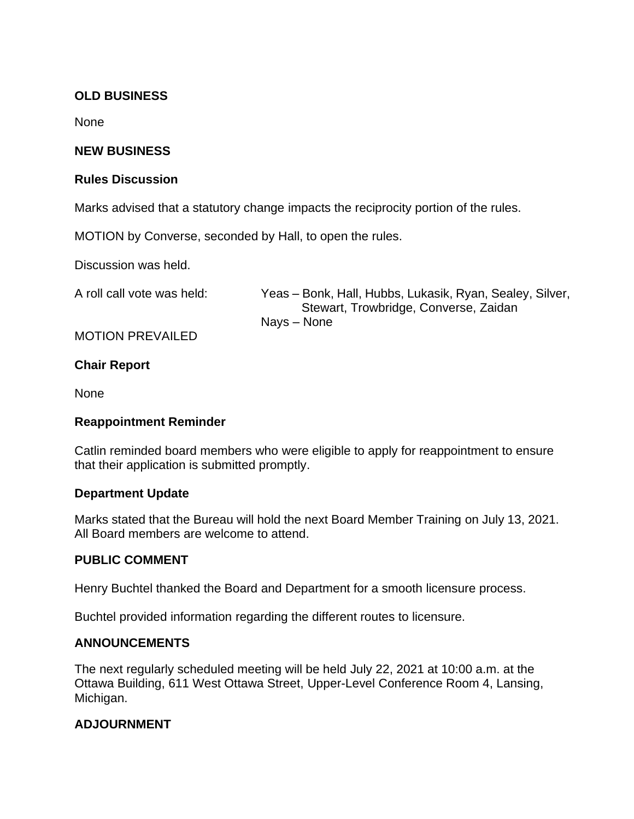# **OLD BUSINESS**

None

#### **NEW BUSINESS**

#### **Rules Discussion**

Marks advised that a statutory change impacts the reciprocity portion of the rules.

MOTION by Converse, seconded by Hall, to open the rules.

Discussion was held.

A roll call vote was held: Yeas – Bonk, Hall, Hubbs, Lukasik, Ryan, Sealey, Silver, Stewart, Trowbridge, Converse, Zaidan Nays – None

## MOTION PREVAILED

#### **Chair Report**

None

#### **Reappointment Reminder**

Catlin reminded board members who were eligible to apply for reappointment to ensure that their application is submitted promptly.

## **Department Update**

Marks stated that the Bureau will hold the next Board Member Training on July 13, 2021. All Board members are welcome to attend.

#### **PUBLIC COMMENT**

Henry Buchtel thanked the Board and Department for a smooth licensure process.

Buchtel provided information regarding the different routes to licensure.

#### **ANNOUNCEMENTS**

The next regularly scheduled meeting will be held July 22, 2021 at 10:00 a.m. at the Ottawa Building, 611 West Ottawa Street, Upper-Level Conference Room 4, Lansing, Michigan.

## **ADJOURNMENT**